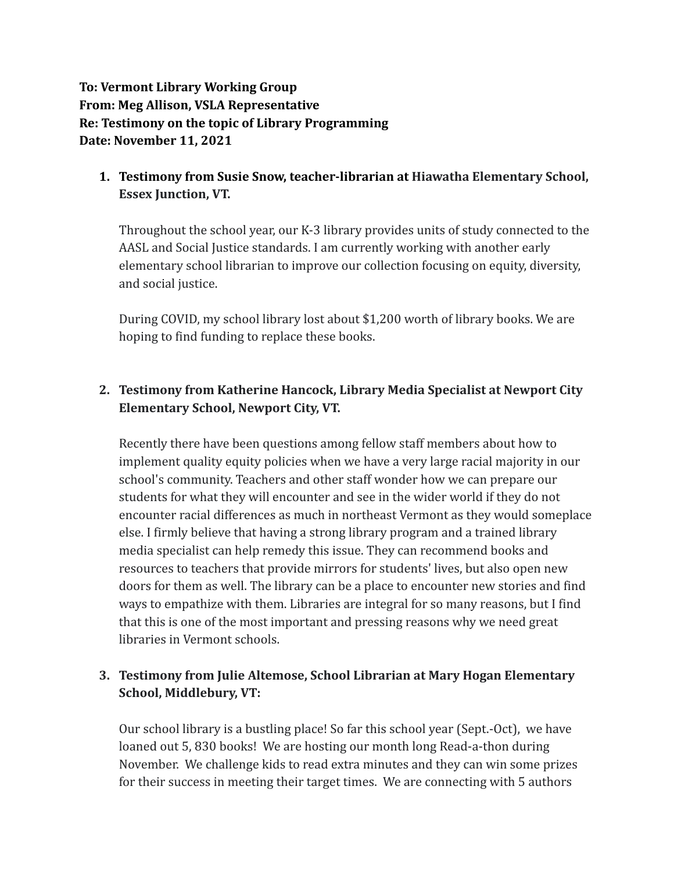**To: Vermont Library Working Group From: Meg Allison, VSLA Representative Re: Testimony on the topic of Library Programming Date: November 11, 2021**

**1. Testimony from Susie Snow, teacher-librarian at Hiawatha Elementary School, Essex Junction, VT.**

Throughout the school year, our K-3 library provides units of study connected to the AASL and Social Justice standards. I am currently working with another early elementary school librarian to improve our collection focusing on equity, diversity, and social justice.

During COVID, my school library lost about \$1,200 worth of library books. We are hoping to find funding to replace these books.

## **2. Testimony from Katherine Hancock, Library Media Specialist at Newport City Elementary School, Newport City, VT.**

Recently there have been questions among fellow staff members about how to implement quality equity policies when we have a very large racial majority in our school's community. Teachers and other staff wonder how we can prepare our students for what they will encounter and see in the wider world if they do not encounter racial differences as much in northeast Vermont as they would someplace else. I firmly believe that having a strong library program and a trained library media specialist can help remedy this issue. They can recommend books and resources to teachers that provide mirrors for students' lives, but also open new doors for them as well. The library can be a place to encounter new stories and find ways to empathize with them. Libraries are integral for so many reasons, but I find that this is one of the most important and pressing reasons why we need great libraries in Vermont schools.

# **3. Testimony from Julie Altemose, School Librarian at Mary Hogan Elementary School, Middlebury, VT:**

Our school library is a bustling place! So far this school year (Sept.-Oct), we have loaned out 5, 830 books! We are hosting our month long Read-a-thon during November. We challenge kids to read extra minutes and they can win some prizes for their success in meeting their target times. We are connecting with 5 authors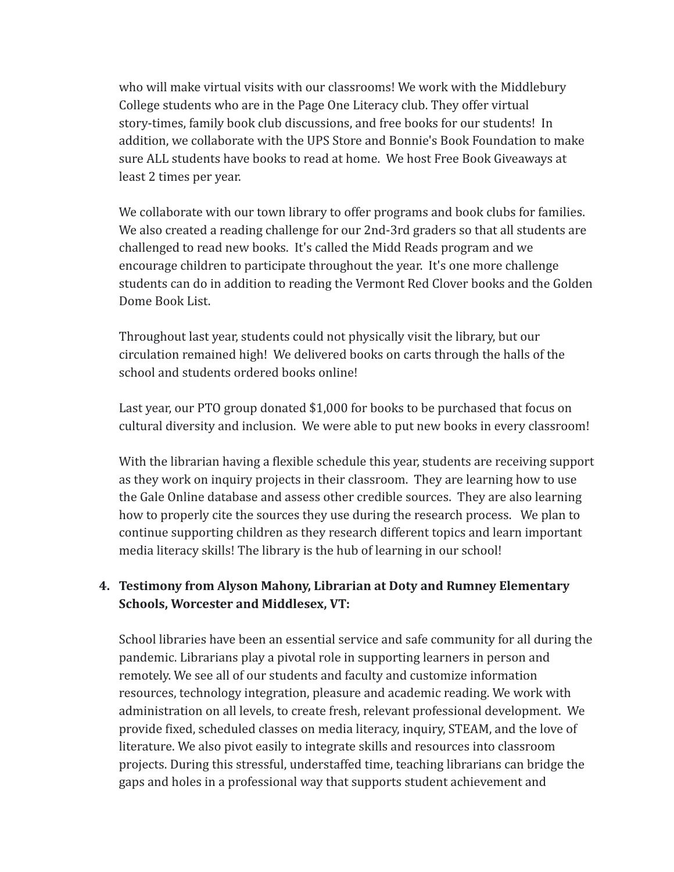who will make virtual visits with our classrooms! We work with the Middlebury College students who are in the Page One Literacy club. They offer virtual story-times, family book club discussions, and free books for our students! In addition, we collaborate with the UPS Store and Bonnie's Book Foundation to make sure ALL students have books to read at home. We host Free Book Giveaways at least 2 times per year.

We collaborate with our town library to offer programs and book clubs for families. We also created a reading challenge for our 2nd-3rd graders so that all students are challenged to read new books. It's called the Midd Reads program and we encourage children to participate throughout the year. It's one more challenge students can do in addition to reading the Vermont Red Clover books and the Golden Dome Book List.

Throughout last year, students could not physically visit the library, but our circulation remained high! We delivered books on carts through the halls of the school and students ordered books online!

Last year, our PTO group donated \$1,000 for books to be purchased that focus on cultural diversity and inclusion. We were able to put new books in every classroom!

With the librarian having a flexible schedule this year, students are receiving support as they work on inquiry projects in their classroom. They are learning how to use the Gale Online database and assess other credible sources. They are also learning how to properly cite the sources they use during the research process. We plan to continue supporting children as they research different topics and learn important media literacy skills! The library is the hub of learning in our school!

### **4. Testimony from Alyson Mahony, Librarian at Doty and Rumney Elementary Schools, Worcester and Middlesex, VT:**

School libraries have been an essential service and safe community for all during the pandemic. Librarians play a pivotal role in supporting learners in person and remotely. We see all of our students and faculty and customize information resources, technology integration, pleasure and academic reading. We work with administration on all levels, to create fresh, relevant professional development. We provide fixed, scheduled classes on media literacy, inquiry, STEAM, and the love of literature. We also pivot easily to integrate skills and resources into classroom projects. During this stressful, understaffed time, teaching librarians can bridge the gaps and holes in a professional way that supports student achievement and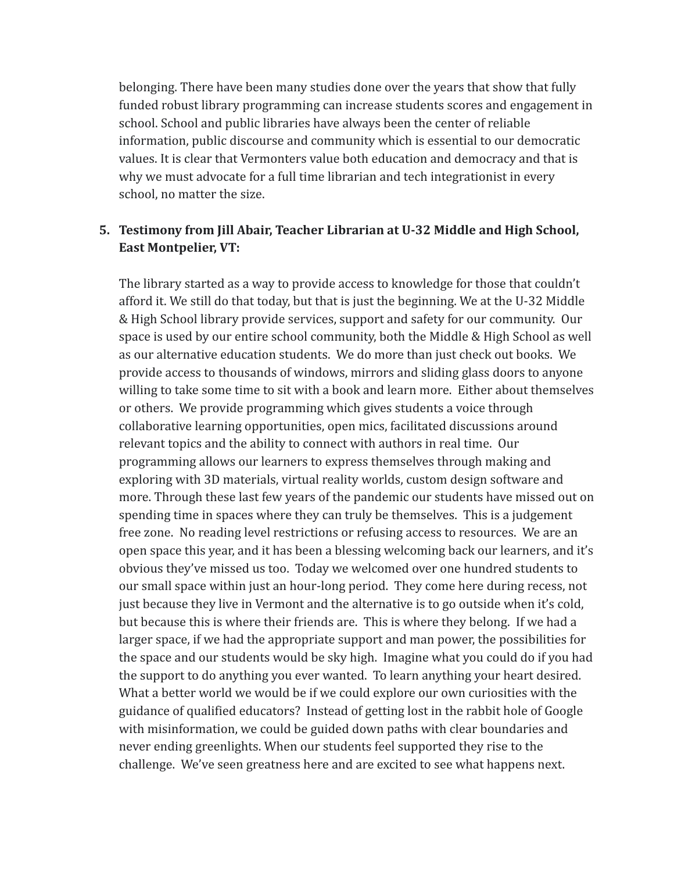belonging. There have been many studies done over the years that show that fully funded robust library programming can increase students scores and engagement in school. School and public libraries have always been the center of reliable information, public discourse and community which is essential to our democratic values. It is clear that Vermonters value both education and democracy and that is why we must advocate for a full time librarian and tech integrationist in every school, no matter the size.

#### **5. Testimony from Jill Abair, Teacher Librarian at U-32 Middle and High School, East Montpelier, VT:**

The library started as a way to provide access to knowledge for those that couldn't afford it. We still do that today, but that is just the beginning. We at the U-32 Middle & High School library provide services, support and safety for our community. Our space is used by our entire school community, both the Middle & High School as well as our alternative education students. We do more than just check out books. We provide access to thousands of windows, mirrors and sliding glass doors to anyone willing to take some time to sit with a book and learn more. Either about themselves or others. We provide programming which gives students a voice through collaborative learning opportunities, open mics, facilitated discussions around relevant topics and the ability to connect with authors in real time. Our programming allows our learners to express themselves through making and exploring with 3D materials, virtual reality worlds, custom design software and more. Through these last few years of the pandemic our students have missed out on spending time in spaces where they can truly be themselves. This is a judgement free zone. No reading level restrictions or refusing access to resources. We are an open space this year, and it has been a blessing welcoming back our learners, and it's obvious they've missed us too. Today we welcomed over one hundred students to our small space within just an hour-long period. They come here during recess, not just because they live in Vermont and the alternative is to go outside when it's cold, but because this is where their friends are. This is where they belong. If we had a larger space, if we had the appropriate support and man power, the possibilities for the space and our students would be sky high. Imagine what you could do if you had the support to do anything you ever wanted. To learn anything your heart desired. What a better world we would be if we could explore our own curiosities with the guidance of qualified educators? Instead of getting lost in the rabbit hole of Google with misinformation, we could be guided down paths with clear boundaries and never ending greenlights. When our students feel supported they rise to the challenge. We've seen greatness here and are excited to see what happens next.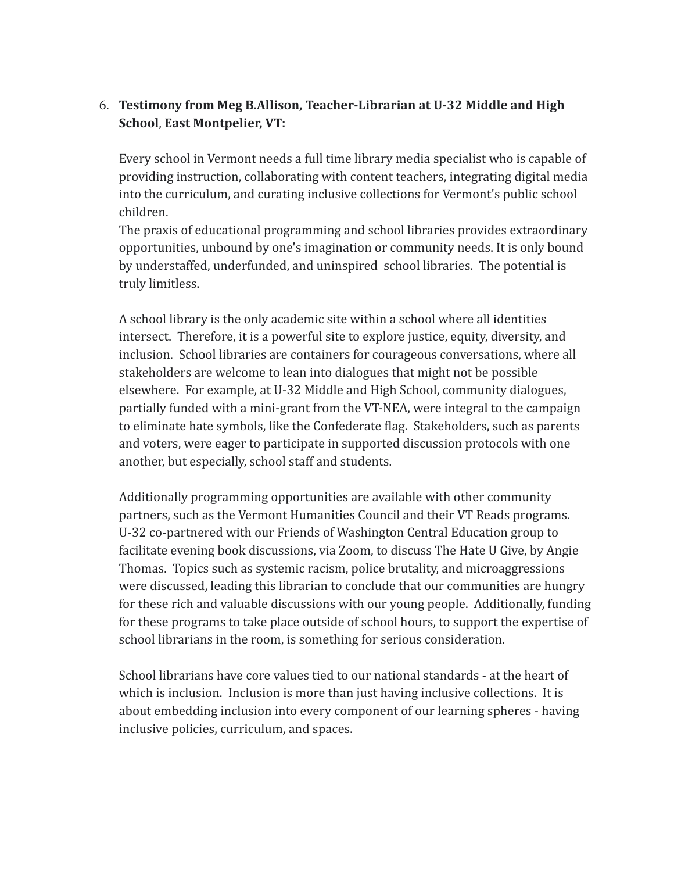### 6. **Testimony from Meg B.Allison, Teacher-Librarian at U-32 Middle and High School**, **East Montpelier, VT:**

Every school in Vermont needs a full time library media specialist who is capable of providing instruction, collaborating with content teachers, integrating digital media into the curriculum, and curating inclusive collections for Vermont's public school children.

The praxis of educational programming and school libraries provides extraordinary opportunities, unbound by one's imagination or community needs. It is only bound by understaffed, underfunded, and uninspired school libraries. The potential is truly limitless.

A school library is the only academic site within a school where all identities intersect. Therefore, it is a powerful site to explore justice, equity, diversity, and inclusion. School libraries are containers for courageous conversations, where all stakeholders are welcome to lean into dialogues that might not be possible elsewhere. For example, at U-32 Middle and High School, community dialogues, partially funded with a mini-grant from the VT-NEA, were integral to the campaign to eliminate hate symbols, like the Confederate flag. Stakeholders, such as parents and voters, were eager to participate in supported discussion protocols with one another, but especially, school staff and students.

Additionally programming opportunities are available with other community partners, such as the Vermont Humanities Council and their VT Reads programs. U-32 co-partnered with our Friends of Washington Central Education group to facilitate evening book discussions, via Zoom, to discuss The Hate U Give, by Angie Thomas. Topics such as systemic racism, police brutality, and microaggressions were discussed, leading this librarian to conclude that our communities are hungry for these rich and valuable discussions with our young people. Additionally, funding for these programs to take place outside of school hours, to support the expertise of school librarians in the room, is something for serious consideration.

School librarians have core values tied to our national standards - at the heart of which is inclusion. Inclusion is more than just having inclusive collections. It is about embedding inclusion into every component of our learning spheres - having inclusive policies, curriculum, and spaces.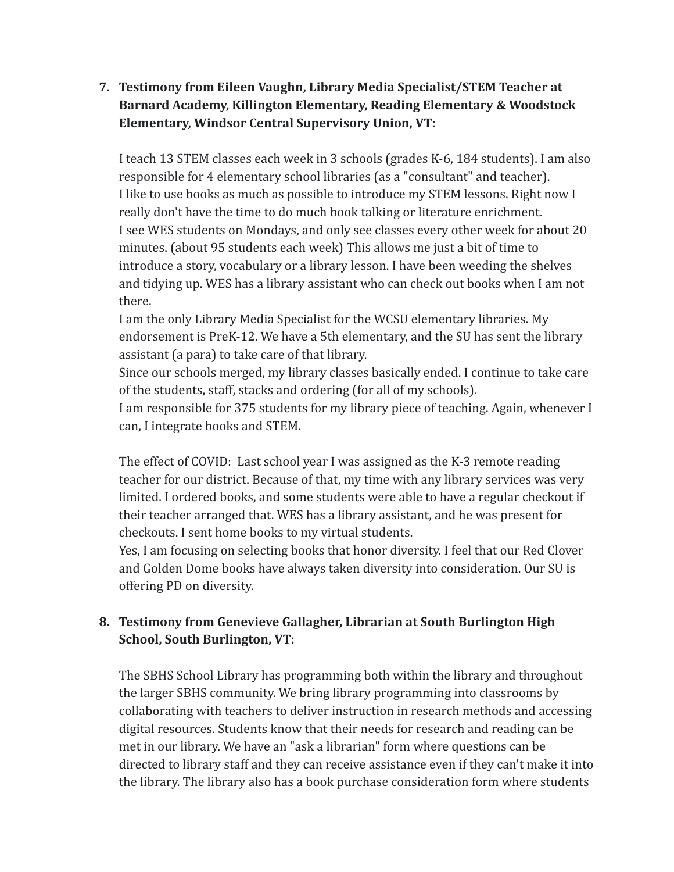# **7. Testimony from Eileen Vaughn, Library Media Specialist/STEM Teacher at Barnard Academy, Killington Elementary, Reading Elementary & Woodstock Elementary, Windsor Central Supervisory Union, VT:**

I teach 13 STEM classes each week in 3 schools (grades K-6, 184 students). I am also responsible for 4 elementary school libraries (as a "consultant" and teacher). I like to use books as much as possible to introduce my STEM lessons. Right now I really don't have the time to do much book talking or literature enrichment. I see WES students on Mondays, and only see classes every other week for about 20 minutes. (about 95 students each week) This allows me just a bit of time to introduce a story, vocabulary or a library lesson. I have been weeding the shelves and tidying up. WES has a library assistant who can check out books when I am not there.

I am the only Library Media Specialist for the WCSU elementary libraries. My endorsement is PreK-12. We have a 5th elementary, and the SU has sent the library assistant (a para) to take care of that library.

Since our schools merged, my library classes basically ended. I continue to take care of the students, staff, stacks and ordering (for all of my schools).

I am responsible for 375 students for my library piece of teaching. Again, whenever I can, I integrate books and STEM.

The effect of COVID: Last school year I was assigned as the K-3 remote reading teacher for our district. Because of that, my time with any library services was very limited. I ordered books, and some students were able to have a regular checkout if their teacher arranged that. WES has a library assistant, and he was present for checkouts. I sent home books to my virtual students.

Yes, I am focusing on selecting books that honor diversity. I feel that our Red Clover and Golden Dome books have always taken diversity into consideration. Our SU is offering PD on diversity.

# **8. Testimony from Genevieve Gallagher, Librarian at South Burlington High School, South Burlington, VT:**

The SBHS School Library has programming both within the library and throughout the larger SBHS community. We bring library programming into classrooms by collaborating with teachers to deliver instruction in research methods and accessing digital resources. Students know that their needs for research and reading can be met in our library. We have an "ask a librarian" form where questions can be directed to library staff and they can receive assistance even if they can't make it into the library. The library also has a book purchase consideration form where students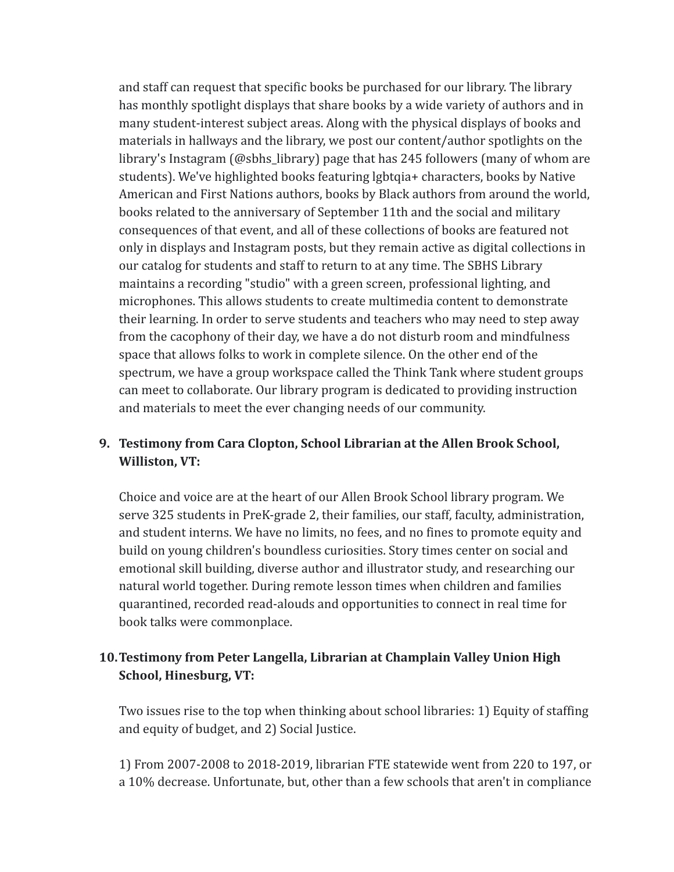and staff can request that specific books be purchased for our library. The library has monthly spotlight displays that share books by a wide variety of authors and in many student-interest subject areas. Along with the physical displays of books and materials in hallways and the library, we post our content/author spotlights on the library's Instagram (@sbhs\_library) page that has 245 followers (many of whom are students). We've highlighted books featuring lgbtqia+ characters, books by Native American and First Nations authors, books by Black authors from around the world, books related to the anniversary of September 11th and the social and military consequences of that event, and all of these collections of books are featured not only in displays and Instagram posts, but they remain active as digital collections in our catalog for students and staff to return to at any time. The SBHS Library maintains a recording "studio" with a green screen, professional lighting, and microphones. This allows students to create multimedia content to demonstrate their learning. In order to serve students and teachers who may need to step away from the cacophony of their day, we have a do not disturb room and mindfulness space that allows folks to work in complete silence. On the other end of the spectrum, we have a group workspace called the Think Tank where student groups can meet to collaborate. Our library program is dedicated to providing instruction and materials to meet the ever changing needs of our community.

### **9. Testimony from Cara Clopton, School Librarian at the Allen Brook School, Williston, VT:**

Choice and voice are at the heart of our Allen Brook School library program. We serve 325 students in PreK-grade 2, their families, our staff, faculty, administration, and student interns. We have no limits, no fees, and no fines to promote equity and build on young children's boundless curiosities. Story times center on social and emotional skill building, diverse author and illustrator study, and researching our natural world together. During remote lesson times when children and families quarantined, recorded read-alouds and opportunities to connect in real time for book talks were commonplace.

# **10.Testimony from Peter Langella, Librarian at Champlain Valley Union High School, Hinesburg, VT:**

Two issues rise to the top when thinking about school libraries: 1) Equity of staffing and equity of budget, and 2) Social Justice.

1) From 2007-2008 to 2018-2019, librarian FTE statewide went from 220 to 197, or a 10% decrease. Unfortunate, but, other than a few schools that aren't in compliance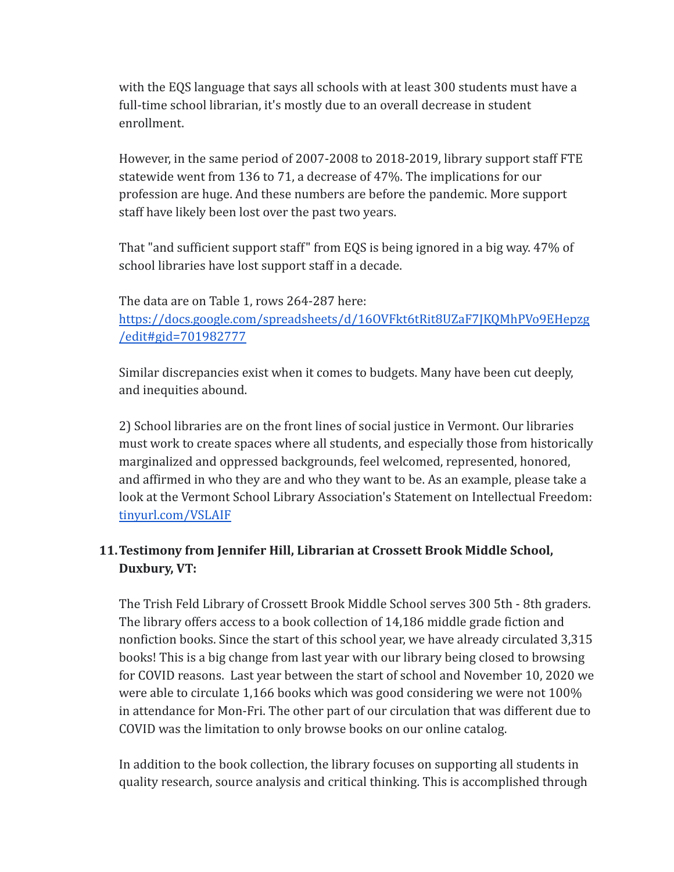with the EQS language that says all schools with at least 300 students must have a full-time school librarian, it's mostly due to an overall decrease in student enrollment.

However, in the same period of 2007-2008 to 2018-2019, library support staff FTE statewide went from 136 to 71, a decrease of 47%. The implications for our profession are huge. And these numbers are before the pandemic. More support staff have likely been lost over the past two years.

That "and sufficient support staff" from EQS is being ignored in a big way. 47% of school libraries have lost support staff in a decade.

The data are on Table 1, rows 264-287 here: [https://docs.google.com/spreadsheets/d/16OVFkt6tRit8UZaF7JKQMhPVo9EHepzg](https://docs.google.com/spreadsheets/d/16OVFkt6tRit8UZaF7JKQMhPVo9EHepzg/edit#gid=701982777) [/edit#gid=701982777](https://docs.google.com/spreadsheets/d/16OVFkt6tRit8UZaF7JKQMhPVo9EHepzg/edit#gid=701982777)

Similar discrepancies exist when it comes to budgets. Many have been cut deeply, and inequities abound.

2) School libraries are on the front lines of social justice in Vermont. Our libraries must work to create spaces where all students, and especially those from historically marginalized and oppressed backgrounds, feel welcomed, represented, honored, and affirmed in who they are and who they want to be. As an example, please take a look at the Vermont School Library Association's Statement on Intellectual Freedom: [tinyurl.com/VSLAIF](https://drive.google.com/file/d/1X1rDYM9Sb_Jc8BmUxGIV2izQMAqIRDlX/view)

# **11.Testimony from Jennifer Hill, Librarian at Crossett Brook Middle School, Duxbury, VT:**

The Trish Feld Library of Crossett Brook Middle School serves 300 5th - 8th graders. The library offers access to a book collection of 14,186 middle grade fiction and nonfiction books. Since the start of this school year, we have already circulated 3,315 books! This is a big change from last year with our library being closed to browsing for COVID reasons. Last year between the start of school and November 10, 2020 we were able to circulate 1,166 books which was good considering we were not 100% in attendance for Mon-Fri. The other part of our circulation that was different due to COVID was the limitation to only browse books on our online catalog.

In addition to the book collection, the library focuses on supporting all students in quality research, source analysis and critical thinking. This is accomplished through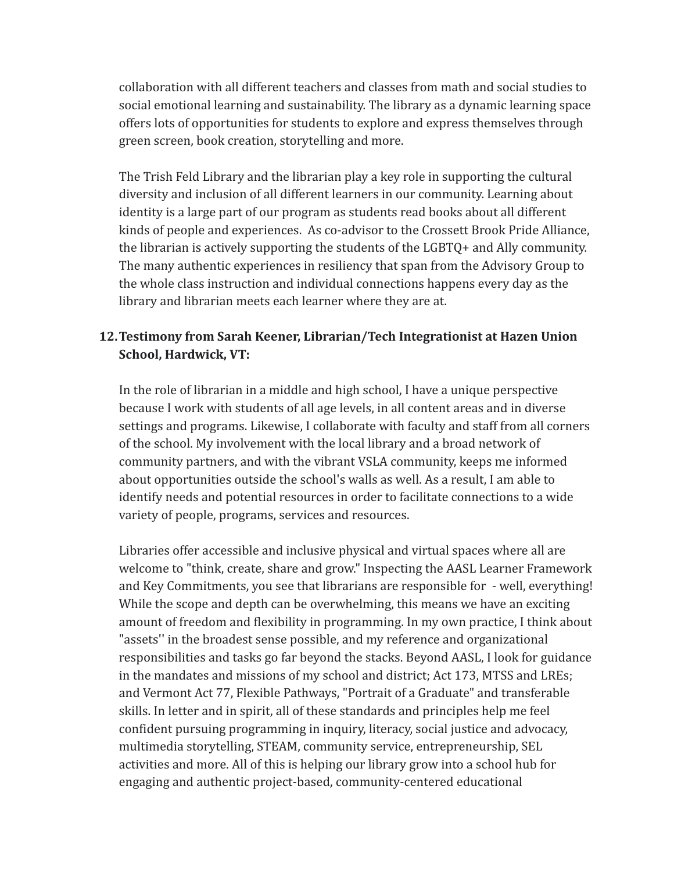collaboration with all different teachers and classes from math and social studies to social emotional learning and sustainability. The library as a dynamic learning space offers lots of opportunities for students to explore and express themselves through green screen, book creation, storytelling and more.

The Trish Feld Library and the librarian play a key role in supporting the cultural diversity and inclusion of all different learners in our community. Learning about identity is a large part of our program as students read books about all different kinds of people and experiences. As co-advisor to the Crossett Brook Pride Alliance, the librarian is actively supporting the students of the LGBTQ+ and Ally community. The many authentic experiences in resiliency that span from the Advisory Group to the whole class instruction and individual connections happens every day as the library and librarian meets each learner where they are at.

## **12.Testimony from Sarah Keener, Librarian/Tech Integrationist at Hazen Union School, Hardwick, VT:**

In the role of librarian in a middle and high school, I have a unique perspective because I work with students of all age levels, in all content areas and in diverse settings and programs. Likewise, I collaborate with faculty and staff from all corners of the school. My involvement with the local library and a broad network of community partners, and with the vibrant VSLA community, keeps me informed about opportunities outside the school's walls as well. As a result, I am able to identify needs and potential resources in order to facilitate connections to a wide variety of people, programs, services and resources.

Libraries offer accessible and inclusive physical and virtual spaces where all are welcome to "think, create, share and grow." Inspecting the AASL Learner Framework and Key Commitments, you see that librarians are responsible for - well, everything! While the scope and depth can be overwhelming, this means we have an exciting amount of freedom and flexibility in programming. In my own practice, I think about "assets'' in the broadest sense possible, and my reference and organizational responsibilities and tasks go far beyond the stacks. Beyond AASL, I look for guidance in the mandates and missions of my school and district; Act 173, MTSS and LREs; and Vermont Act 77, Flexible Pathways, "Portrait of a Graduate" and transferable skills. In letter and in spirit, all of these standards and principles help me feel confident pursuing programming in inquiry, literacy, social justice and advocacy, multimedia storytelling, STEAM, community service, entrepreneurship, SEL activities and more. All of this is helping our library grow into a school hub for engaging and authentic project-based, community-centered educational